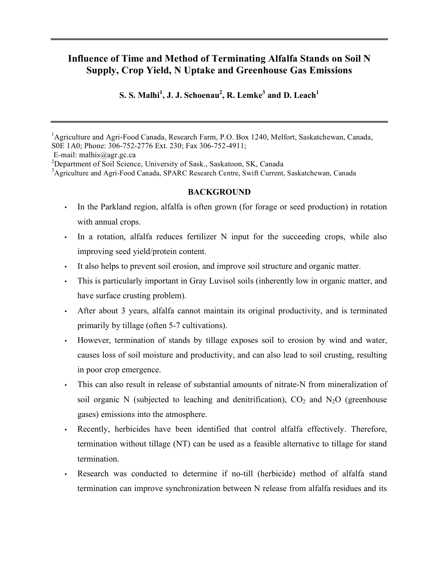# **Influence of Time and Method of Terminating Alfalfa Stands on Soil N Supply, Crop Yield, N Uptake and Greenhouse Gas Emissions**

**S. S. Malhi 1 , J. J. Schoenau2 , R. Lemke <sup>3</sup> and D. Leach<sup>1</sup>**

E-mail: malhis@agr.gc.ca

<sup>3</sup>Agriculture and Agri-Food Canada, SPARC Research Centre, Swift Current, Saskatchewan, Canada

### **BACKGROUND**

- In the Parkland region, alfalfa is often grown (for forage or seed production) in rotation with annual crops.
- In a rotation, alfalfa reduces fertilizer N input for the succeeding crops, while also improving seed yield/protein content.
- It also helps to prevent soil erosion, and improve soil structure and organic matter.
- This is particularly important in Gray Luvisol soils (inherently low in organic matter, and have surface crusting problem).
- After about 3 years, alfalfa cannot maintain its original productivity, and is terminated primarily by tillage (often 5-7 cultivations).
- However, termination of stands by tillage exposes soil to erosion by wind and water, causes loss of soil moisture and productivity, and can also lead to soil crusting, resulting in poor crop emergence.
- This can also result in release of substantial amounts of nitrate-N from mineralization of soil organic N (subjected to leaching and denitrification),  $CO<sub>2</sub>$  and N<sub>2</sub>O (greenhouse gases) emissions into the atmosphere.
- Recently, herbicides have been identified that control alfalfa effectively. Therefore, termination without tillage (NT) can be used as a feasible alternative to tillage for stand termination.
- Research was conducted to determine if no-till (herbicide) method of alfalfa stand termination can improve synchronization between N release from alfalfa residues and its

<sup>&</sup>lt;sup>1</sup>Agriculture and Agri-Food Canada, Research Farm, P.O. Box 1240, Melfort, Saskatchewan, Canada, S0E 1A0; Phone: 306-752-2776 Ext. 230; Fax 306-752-4911;

<sup>&</sup>lt;sup>2</sup>Department of Soil Science, University of Sask., Saskatoon, SK, Canada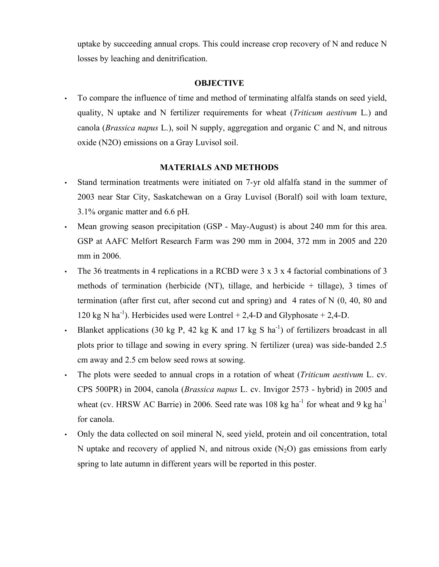uptake by succeeding annual crops. This could increase crop recovery of N and reduce N losses by leaching and denitrification.

### **OBJECTIVE**

• To compare the influence of time and method of terminating alfalfa stands on seed yield, quality, N uptake and N fertilizer requirements for wheat (*Triticum aestivum* L.) and canola (*Brassica napus* L.), soil N supply, aggregation and organic C and N, and nitrous oxide (N2O) emissions on a Gray Luvisol soil.

# **MATERIALS AND METHODS**

- Stand termination treatments were initiated on 7-yr old alfalfa stand in the summer of 2003 near Star City, Saskatchewan on a Gray Luvisol (Boralf) soil with loam texture, 3.1% organic matter and 6.6 pH.
- Mean growing season precipitation (GSP May-August) is about 240 mm for this area. GSP at AAFC Melfort Research Farm was 290 mm in 2004, 372 mm in 2005 and 220 mm in 2006.
- The 36 treatments in 4 replications in a RCBD were 3 x 3 x 4 factorial combinations of 3 methods of termination (herbicide (NT), tillage, and herbicide  $+$  tillage), 3 times of termination (after first cut, after second cut and spring) and 4 rates of N (0, 40, 80 and 120 kg N ha<sup>-1</sup>). Herbicides used were Lontrel + 2,4-D and Glyphosate + 2,4-D.
- Blanket applications (30 kg P, 42 kg K and 17 kg S ha<sup>-1</sup>) of fertilizers broadcast in all plots prior to tillage and sowing in every spring. N fertilizer (urea) was side-banded 2.5 cm away and 2.5 cm below seed rows at sowing.
- The plots were seeded to annual crops in a rotation of wheat (*Triticum aestivum* L. cv. CPS 500PR) in 2004, canola (*Brassica napus* L. cv. Invigor 2573 - hybrid) in 2005 and wheat (cv. HRSW AC Barrie) in 2006. Seed rate was 108 kg ha<sup>-1</sup> for wheat and 9 kg ha<sup>-1</sup> for canola.
- Only the data collected on soil mineral N, seed yield, protein and oil concentration, total N uptake and recovery of applied N, and nitrous oxide  $(N_2O)$  gas emissions from early spring to late autumn in different years will be reported in this poster.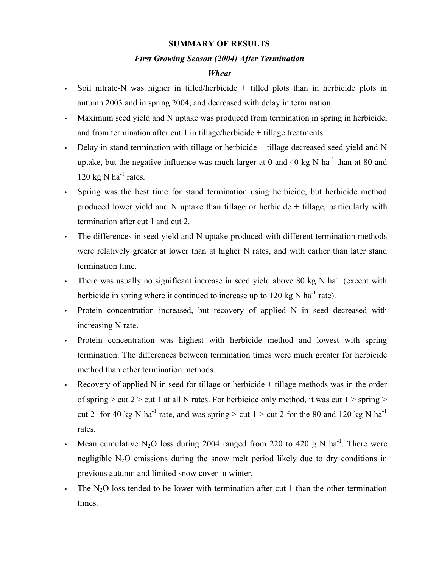### **SUMMARY OF RESULTS**

#### *First Growing Season (2004) After Termination*

# *– Wheat –*

- Soil nitrate-N was higher in tilled/herbicide + tilled plots than in herbicide plots in autumn 2003 and in spring 2004, and decreased with delay in termination.
- Maximum seed yield and N uptake was produced from termination in spring in herbicide, and from termination after cut 1 in tillage/herbicide + tillage treatments.
- Delay in stand termination with tillage or herbicide  $+$  tillage decreased seed yield and N uptake, but the negative influence was much larger at 0 and 40 kg N ha<sup>-1</sup> than at 80 and 120 kg N  $ha^{-1}$  rates.
- Spring was the best time for stand termination using herbicide, but herbicide method produced lower yield and N uptake than tillage or herbicide + tillage, particularly with termination after cut 1 and cut 2.
- The differences in seed yield and N uptake produced with different termination methods were relatively greater at lower than at higher N rates, and with earlier than later stand termination time.
- There was usually no significant increase in seed yield above 80 kg N ha<sup>-1</sup> (except with herbicide in spring where it continued to increase up to  $120 \text{ kg N} \text{ ha}^{-1}$  rate).
- Protein concentration increased, but recovery of applied N in seed decreased with increasing N rate.
- Protein concentration was highest with herbicide method and lowest with spring termination. The differences between termination times were much greater for herbicide method than other termination methods.
- Recovery of applied N in seed for tillage or herbicide  $+$  tillage methods was in the order of spring  $>$  cut 2  $>$  cut 1 at all N rates. For herbicide only method, it was cut 1  $>$  spring  $>$ cut 2 for 40 kg N ha<sup>-1</sup> rate, and was spring > cut 1 > cut 2 for the 80 and 120 kg N ha<sup>-1</sup> rates.
- Mean cumulative N<sub>2</sub>O loss during 2004 ranged from 220 to 420 g N ha<sup>-1</sup>. There were negligible  $N_2O$  emissions during the snow melt period likely due to dry conditions in previous autumn and limited snow cover in winter.
- The  $N_2O$  loss tended to be lower with termination after cut 1 than the other termination times.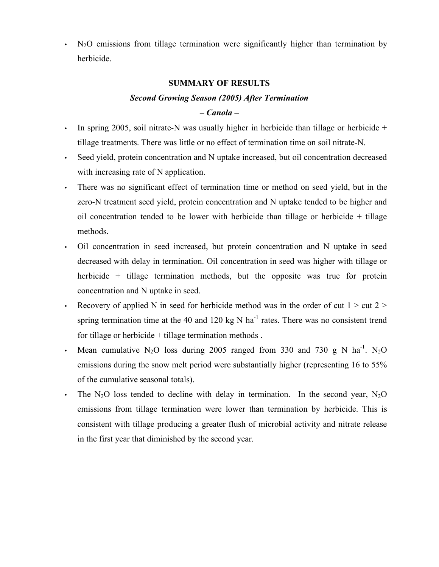$N<sub>2</sub>O$  emissions from tillage termination were significantly higher than termination by herbicide.

## **SUMMARY OF RESULTS**

# *Second Growing Season (2005) After Termination*

# *– Canola –*

- In spring 2005, soil nitrate-N was usually higher in herbicide than tillage or herbicide + tillage treatments. There was little or no effect of termination time on soil nitrate-N.
- Seed yield, protein concentration and N uptake increased, but oil concentration decreased with increasing rate of N application.
- There was no significant effect of termination time or method on seed yield, but in the zero-N treatment seed yield, protein concentration and N uptake tended to be higher and oil concentration tended to be lower with herbicide than tillage or herbicide + tillage methods.
- Oil concentration in seed increased, but protein concentration and N uptake in seed decreased with delay in termination. Oil concentration in seed was higher with tillage or herbicide + tillage termination methods, but the opposite was true for protein concentration and N uptake in seed.
- Recovery of applied N in seed for herbicide method was in the order of cut  $1 > cut 2 >$ spring termination time at the 40 and 120 kg N ha<sup>-1</sup> rates. There was no consistent trend for tillage or herbicide  $+$  tillage termination methods.
- Mean cumulative N<sub>2</sub>O loss during 2005 ranged from 330 and 730 g N ha<sup>-1</sup>. N<sub>2</sub>O emissions during the snow melt period were substantially higher (representing 16 to 55% of the cumulative seasonal totals).
- The N<sub>2</sub>O loss tended to decline with delay in termination. In the second year, N<sub>2</sub>O emissions from tillage termination were lower than termination by herbicide. This is consistent with tillage producing a greater flush of microbial activity and nitrate release in the first year that diminished by the second year.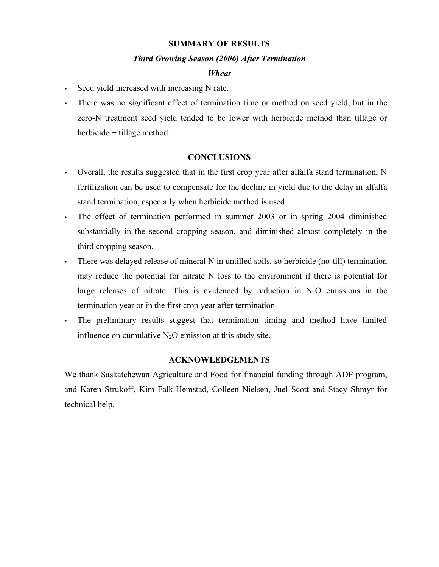### **SUMMARY OF RESULTS**

### *Third Growing Season (2006) After Termination*

## *– Wheat –*

- Seed yield increased with increasing N rate.
- There was no significant effect of termination time or method on seed yield, but in the zero-N treatment seed yield tended to be lower with herbicide method than tillage or herbicide + tillage method.

### **CONCLUSIONS**

- Overall, the results suggested that in the first crop year after alfalfa stand termination, N fertilization can be used to compensate for the decline in yield due to the delay in alfalfa stand termination, especially when herbicide method is used.
- The effect of termination performed in summer 2003 or in spring 2004 diminished substantially in the second cropping season, and diminished almost completely in the third cropping season.
- There was delayed release of mineral N in untilled soils, so herbicide (no-till) termination may reduce the potential for nitrate N loss to the environment if there is potential for large releases of nitrate. This is evidenced by reduction in  $N_2O$  emissions in the termination year or in the first crop year after termination.
- The preliminary results suggest that termination timing and method have limited influence on cumulative  $N_2O$  emission at this study site.

## **ACKNOWLEDGEMENTS**

We thank Saskatchewan Agriculture and Food for financial funding through ADF program, and Karen Strukoff, Kim Falk-Hemstad, Colleen Nielsen, Juel Scott and Stacy Shmyr for technical help.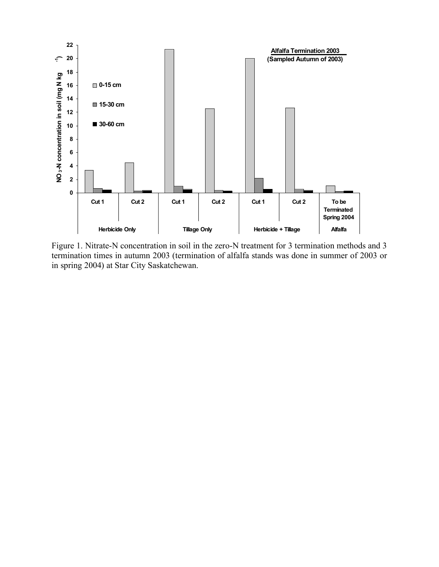

Figure 1. Nitrate-N concentration in soil in the zero-N treatment for 3 termination methods and 3 termination times in autumn 2003 (termination of alfalfa stands was done in summer of 2003 or in spring 2004) at Star City Saskatchewan.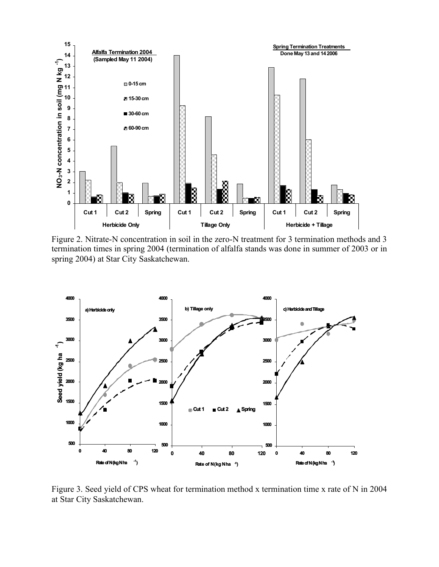

Figure 2. Nitrate-N concentration in soil in the zero-N treatment for 3 termination methods and 3 termination times in spring 2004 (termination of alfalfa stands was done in summer of 2003 or in spring 2004) at Star City Saskatchewan.



Figure 3. Seed yield of CPS wheat for termination method x termination time x rate of N in 2004 at Star City Saskatchewan.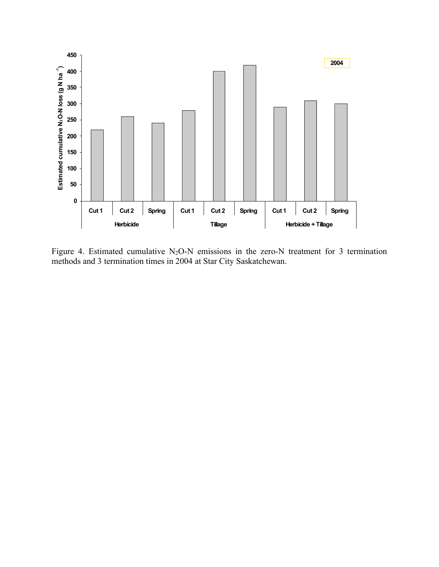

Figure 4. Estimated cumulative  $N_2O-N$  emissions in the zero-N treatment for 3 termination methods and 3 termination times in 2004 at Star City Saskatchewan.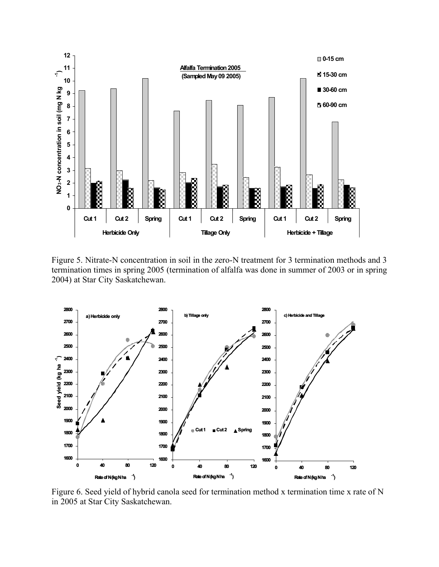

Figure 5. Nitrate-N concentration in soil in the zero-N treatment for 3 termination methods and 3 termination times in spring 2005 (termination of alfalfa was done in summer of 2003 or in spring 2004) at Star City Saskatchewan.



Figure 6. Seed yield of hybrid canola seed for termination method x termination time x rate of N in 2005 at Star City Saskatchewan.